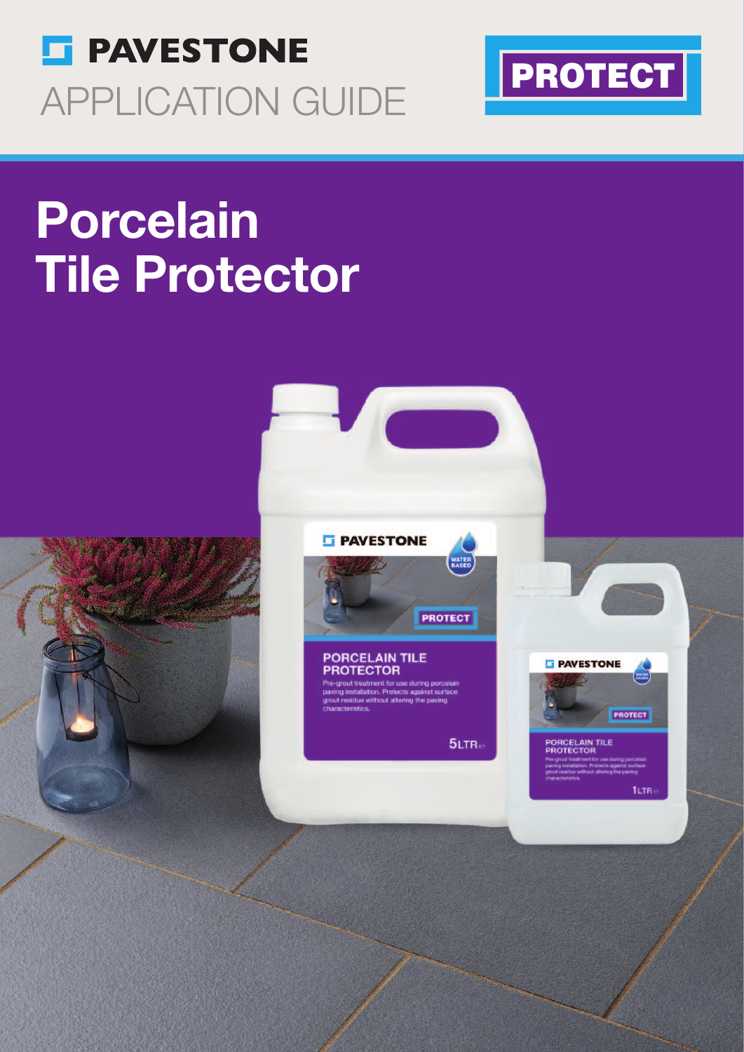



# Porcelain Tile Protector





ut treatment for use during porcel<br>nstallation. Protects against surfa

 $5LTR<sub>e</sub>$